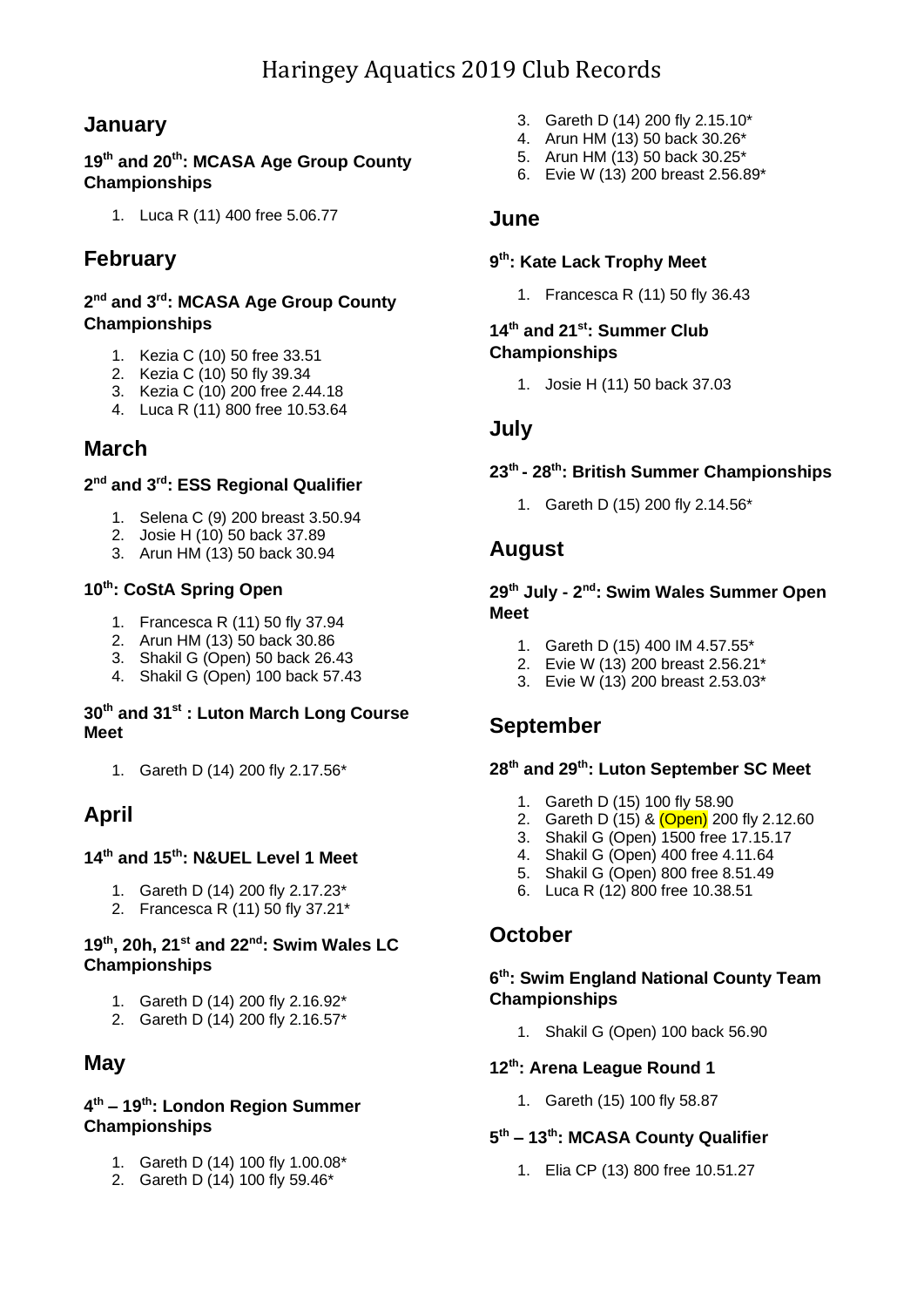## **January**

#### **19th and 20 th: MCASA Age Group County Championships**

1. Luca R (11) 400 free 5.06.77

## **February**

#### **2 nd and 3 rd: MCASA Age Group County Championships**

- 1. Kezia C (10) 50 free 33.51
- 2. Kezia C (10) 50 fly 39.34
- 3. Kezia C (10) 200 free 2.44.18
- 4. Luca R (11) 800 free 10.53.64

## **March**

#### **2 nd and 3 rd: ESS Regional Qualifier**

- 1. Selena C (9) 200 breast 3.50.94
- 2. Josie H (10) 50 back 37.89
- 3. Arun HM (13) 50 back 30.94

#### **10th: CoStA Spring Open**

- 1. Francesca R (11) 50 fly 37.94
- 2. Arun HM (13) 50 back 30.86
- 3. Shakil G (Open) 50 back 26.43
- 4. Shakil G (Open) 100 back 57.43

#### **30th and 31st : Luton March Long Course Meet**

1. Gareth D (14) 200 fly 2.17.56\*

## **April**

#### **14th and 15th: N&UEL Level 1 Meet**

- 1. Gareth D (14) 200 fly 2.17.23\*
- 2. Francesca R $(11)$  50 fly 37.21\*

#### **19th, 20h, 21st and 22nd: Swim Wales LC Championships**

- 1. Gareth D (14) 200 fly 2.16.92\*
- 2. Gareth D (14) 200 fly 2.16.57\*

### **May**

#### **4 th – 19th: London Region Summer Championships**

- 1. Gareth D (14) 100 fly 1.00.08\*
- 2. Gareth D (14) 100 fly 59.46\*
- 3. Gareth D (14) 200 fly 2.15.10\*
- 4. Arun HM (13) 50 back 30.26\*
- 5. Arun HM (13) 50 back 30.25\*
- 6. Evie W (13) 200 breast 2.56.89\*

#### **June**

#### **9 th: Kate Lack Trophy Meet**

1. Francesca R (11) 50 fly 36.43

#### **14 th and 21 st: Summer Club Championships**

1. Josie H (11) 50 back 37.03

### **July**

#### **23 th - 28 th: British Summer Championships**

1. Gareth D (15) 200 fly 2.14.56\*

### **August**

#### **29th July - 2 nd: Swim Wales Summer Open Meet**

- 1. Gareth D (15) 400 IM 4.57.55\*
- 2. Evie W (13) 200 breast 2.56.21\*
- 3. Evie W (13) 200 breast 2.53.03\*

## **September**

#### **28 th and 29th: Luton September SC Meet**

- 1. Gareth D (15) 100 fly 58.90
- 2. Gareth D (15) & <mark>(Open)</mark> 200 fly 2.12.60
- 3. Shakil G (Open) 1500 free 17.15.17
- 4. Shakil G (Open) 400 free 4.11.64
- 5. Shakil G (Open) 800 free 8.51.49
- 6. Luca R (12) 800 free 10.38.51

### **October**

#### **6 th: Swim England National County Team Championships**

1. Shakil G (Open) 100 back 56.90

#### **12th: Arena League Round 1**

1. Gareth (15) 100 fly 58.87

#### **5 th – 13th: MCASA County Qualifier**

1. Elia CP (13) 800 free 10.51.27